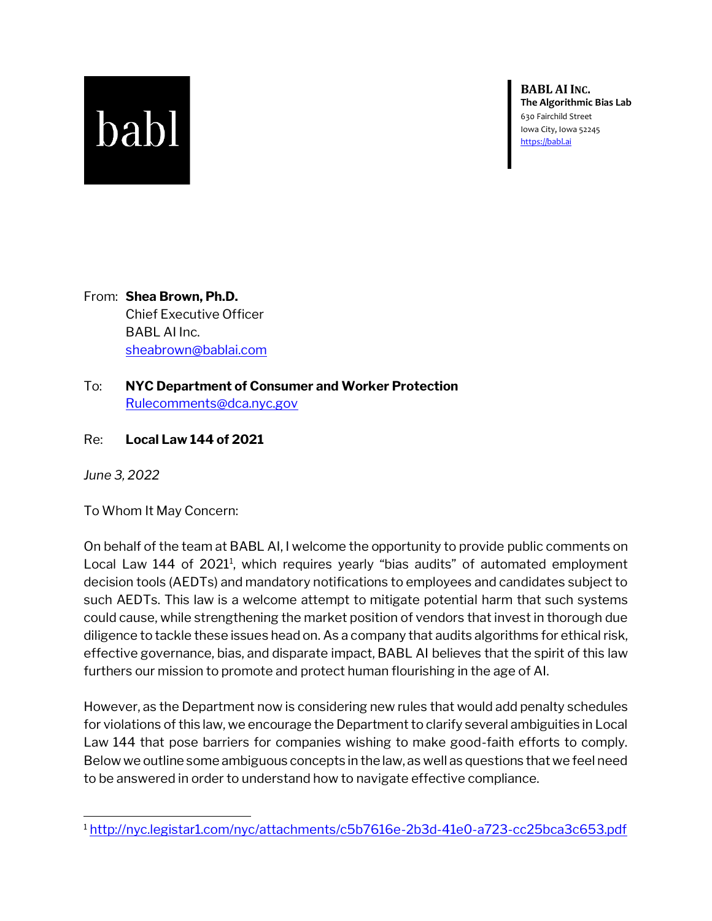## babl

**BABL AIINC. The Algorithmic Bias Lab** 630 Fairchild Street Iowa City, Iowa 52245 [https://babl.ai](https://babl.ai/)

From: **Shea Brown, Ph.D.** Chief Executive Officer BABL AI Inc. [sheabrown@bablai.com](mailto:sheabrown@bablai.com)

- To: **NYC Department of Consumer and Worker Protection** [Rulecomments@dca.nyc.gov](mailto:Rulecomments@dca.nyc.gov)
- Re: **Local Law 144 of 2021**

*June 3, 2022*

To Whom It May Concern:

On behalf of the team at BABL AI, I welcome the opportunity to provide public comments on Local Law 144 of 2021<sup>1</sup>, which requires yearly "bias audits" of automated employment decision tools (AEDTs) and mandatory notifications to employees and candidates subject to such AEDTs. This law is a welcome attempt to mitigate potential harm that such systems could cause, while strengthening the market position of vendors that invest in thorough due diligence to tackle these issues head on. As a company that audits algorithms for ethical risk, effective governance, bias, and disparate impact, BABL AI believes that the spirit of this law furthers our mission to promote and protect human flourishing in the age of AI.

However, as the Department now is considering new rules that would add penalty schedules for violations of this law, we encourage the Department to clarify several ambiguities in Local Law 144 that pose barriers for companies wishing to make good-faith efforts to comply. Below we outline some ambiguous concepts in the law, as well as questions that we feel need to be answered in order to understand how to navigate effective compliance.

<sup>1</sup> <http://nyc.legistar1.com/nyc/attachments/c5b7616e-2b3d-41e0-a723-cc25bca3c653.pdf>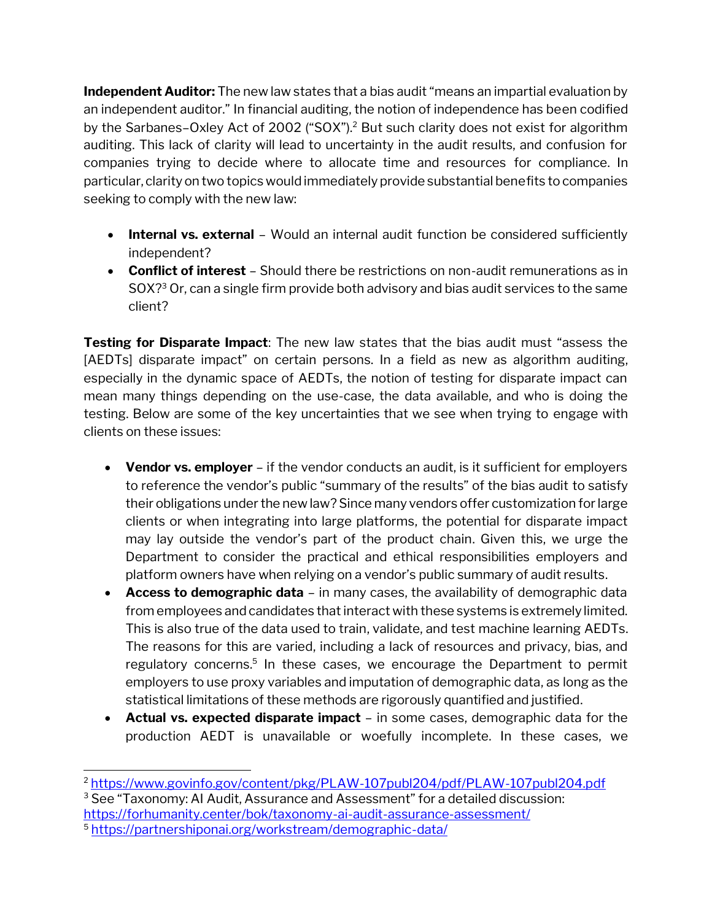**Independent Auditor:** The new law states that a bias audit "means an impartial evaluation by an independent auditor." In financial auditing, the notion of independence has been codified by the Sarbanes–Oxley Act of 2002 ("SOX").<sup>2</sup> But such clarity does not exist for algorithm auditing. This lack of clarity will lead to uncertainty in the audit results, and confusion for companies trying to decide where to allocate time and resources for compliance. In particular, clarity on two topics would immediately provide substantial benefits to companies seeking to comply with the new law:

- **Internal vs. external** Would an internal audit function be considered sufficiently independent?
- **Conflict of interest**  Should there be restrictions on non-audit remunerations as in SOX? <sup>3</sup> Or, can a single firm provide both advisory and bias audit services to the same client?

**Testing for Disparate Impact**: The new law states that the bias audit must "assess the [AEDTs] disparate impact" on certain persons. In a field as new as algorithm auditing, especially in the dynamic space of AEDTs, the notion of testing for disparate impact can mean many things depending on the use-case, the data available, and who is doing the testing. Below are some of the key uncertainties that we see when trying to engage with clients on these issues:

- **Vendor vs. employer** if the vendor conducts an audit, is it sufficient for employers to reference the vendor's public "summary of the results" of the bias audit to satisfy their obligations under the new law? Since many vendors offer customization for large clients or when integrating into large platforms, the potential for disparate impact may lay outside the vendor's part of the product chain. Given this, we urge the Department to consider the practical and ethical responsibilities employers and platform owners have when relying on a vendor's public summary of audit results.
- **Access to demographic data** in many cases, the availability of demographic data from employees and candidates that interact with these systems is extremely limited. This is also true of the data used to train, validate, and test machine learning AEDTs. The reasons for this are varied, including a lack of resources and privacy, bias, and regulatory concerns.<sup>5</sup> In these cases, we encourage the Department to permit employers to use proxy variables and imputation of demographic data, as long as the statistical limitations of these methods are rigorously quantified and justified.
- **Actual vs. expected disparate impact** in some cases, demographic data for the production AEDT is unavailable or woefully incomplete. In these cases, we

<sup>2</sup> <https://www.govinfo.gov/content/pkg/PLAW-107publ204/pdf/PLAW-107publ204.pdf>

<sup>&</sup>lt;sup>3</sup> See "Taxonomy: AI Audit, Assurance and Assessment" for a detailed discussion: <https://forhumanity.center/bok/taxonomy-ai-audit-assurance-assessment/>

<sup>5</sup> <https://partnershiponai.org/workstream/demographic-data/>